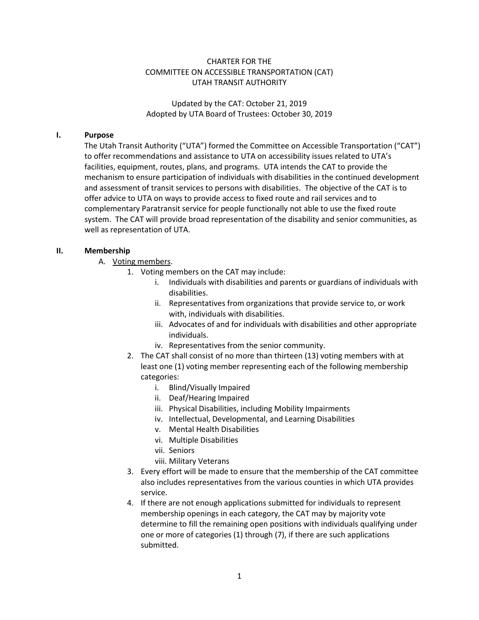## CHARTER FOR THE COMMITTEE ON ACCESSIBLE TRANSPORTATION (CAT) UTAH TRANSIT AUTHORITY

Updated by the CAT: October 21, 2019 Adopted by UTA Board of Trustees: October 30, 2019

#### **I. Purpose**

The Utah Transit Authority ("UTA") formed the Committee on Accessible Transportation ("CAT") to offer recommendations and assistance to UTA on accessibility issues related to UTA's facilities, equipment, routes, plans, and programs. UTA intends the CAT to provide the mechanism to ensure participation of individuals with disabilities in the continued development and assessment of transit services to persons with disabilities. The objective of the CAT is to offer advice to UTA on ways to provide access to fixed route and rail services and to complementary Paratransit service for people functionally not able to use the fixed route system. The CAT will provide broad representation of the disability and senior communities, as well as representation of UTA.

#### **II. Membership**

- A. Voting members.
	- 1. Voting members on the CAT may include:
		- i. Individuals with disabilities and parents or guardians of individuals with disabilities.
		- ii. Representatives from organizations that provide service to, or work with, individuals with disabilities.
		- iii. Advocates of and for individuals with disabilities and other appropriate individuals.
		- iv. Representatives from the senior community.
	- 2. The CAT shall consist of no more than thirteen (13) voting members with at least one (1) voting member representing each of the following membership categories:
		- i. Blind/Visually Impaired
		- ii. Deaf/Hearing Impaired
		- iii. Physical Disabilities, including Mobility Impairments
		- iv. Intellectual, Developmental, and Learning Disabilities
		- v. Mental Health Disabilities
		- vi. Multiple Disabilities
		- vii. Seniors
		- viii. Military Veterans
	- 3. Every effort will be made to ensure that the membership of the CAT committee also includes representatives from the various counties in which UTA provides service.
	- 4. If there are not enough applications submitted for individuals to represent membership openings in each category, the CAT may by majority vote determine to fill the remaining open positions with individuals qualifying under one or more of categories (1) through (7), if there are such applications submitted.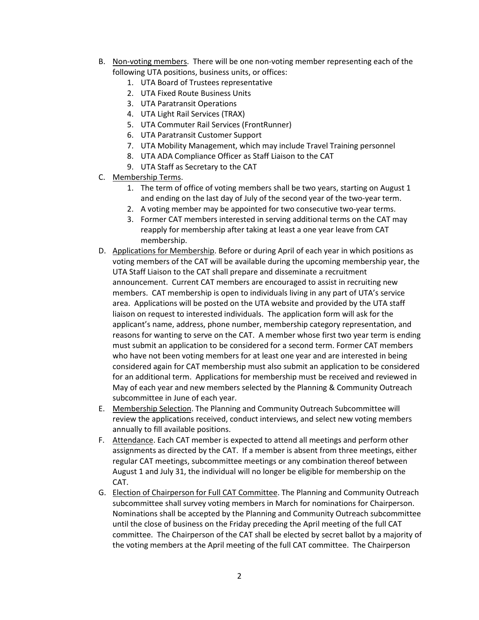- B. Non-voting members. There will be one non-voting member representing each of the following UTA positions, business units, or offices:
	- 1. UTA Board of Trustees representative
	- 2. UTA Fixed Route Business Units
	- 3. UTA Paratransit Operations
	- 4. UTA Light Rail Services (TRAX)
	- 5. UTA Commuter Rail Services (FrontRunner)
	- 6. UTA Paratransit Customer Support
	- 7. UTA Mobility Management, which may include Travel Training personnel
	- 8. UTA ADA Compliance Officer as Staff Liaison to the CAT
	- 9. UTA Staff as Secretary to the CAT
- C. Membership Terms.
	- 1. The term of office of voting members shall be two years, starting on August 1 and ending on the last day of July of the second year of the two-year term.
	- 2. A voting member may be appointed for two consecutive two-year terms.
	- 3. Former CAT members interested in serving additional terms on the CAT may reapply for membership after taking at least a one year leave from CAT membership.
- D. Applications for Membership. Before or during April of each year in which positions as voting members of the CAT will be available during the upcoming membership year, the UTA Staff Liaison to the CAT shall prepare and disseminate a recruitment announcement. Current CAT members are encouraged to assist in recruiting new members. CAT membership is open to individuals living in any part of UTA's service area. Applications will be posted on the UTA website and provided by the UTA staff liaison on request to interested individuals. The application form will ask for the applicant's name, address, phone number, membership category representation, and reasons for wanting to serve on the CAT. A member whose first two year term is ending must submit an application to be considered for a second term. Former CAT members who have not been voting members for at least one year and are interested in being considered again for CAT membership must also submit an application to be considered for an additional term. Applications for membership must be received and reviewed in May of each year and new members selected by the Planning & Community Outreach subcommittee in June of each year.
- E. Membership Selection. The Planning and Community Outreach Subcommittee will review the applications received, conduct interviews, and select new voting members annually to fill available positions.
- F. Attendance. Each CAT member is expected to attend all meetings and perform other assignments as directed by the CAT. If a member is absent from three meetings, either regular CAT meetings, subcommittee meetings or any combination thereof between August 1 and July 31, the individual will no longer be eligible for membership on the CAT.
- G. Election of Chairperson for Full CAT Committee. The Planning and Community Outreach subcommittee shall survey voting members in March for nominations for Chairperson. Nominations shall be accepted by the Planning and Community Outreach subcommittee until the close of business on the Friday preceding the April meeting of the full CAT committee. The Chairperson of the CAT shall be elected by secret ballot by a majority of the voting members at the April meeting of the full CAT committee. The Chairperson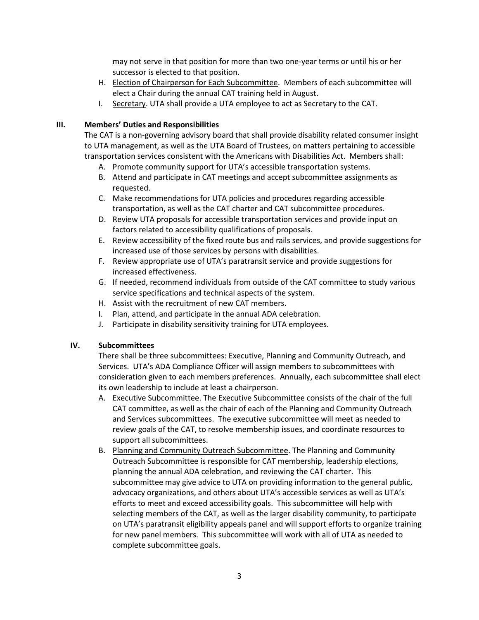may not serve in that position for more than two one-year terms or until his or her successor is elected to that position.

- H. Election of Chairperson for Each Subcommittee. Members of each subcommittee will elect a Chair during the annual CAT training held in August.
- I. Secretary. UTA shall provide a UTA employee to act as Secretary to the CAT.

## **III. Members' Duties and Responsibilities**

The CAT is a non-governing advisory board that shall provide disability related consumer insight to UTA management, as well as the UTA Board of Trustees, on matters pertaining to accessible transportation services consistent with the Americans with Disabilities Act. Members shall:

- A. Promote community support for UTA's accessible transportation systems.
- B. Attend and participate in CAT meetings and accept subcommittee assignments as requested.
- C. Make recommendations for UTA policies and procedures regarding accessible transportation, as well as the CAT charter and CAT subcommittee procedures.
- D. Review UTA proposals for accessible transportation services and provide input on factors related to accessibility qualifications of proposals.
- E. Review accessibility of the fixed route bus and rails services, and provide suggestions for increased use of those services by persons with disabilities.
- F. Review appropriate use of UTA's paratransit service and provide suggestions for increased effectiveness.
- G. If needed, recommend individuals from outside of the CAT committee to study various service specifications and technical aspects of the system.
- H. Assist with the recruitment of new CAT members.
- I. Plan, attend, and participate in the annual ADA celebration.
- J. Participate in disability sensitivity training for UTA employees.

### **IV. Subcommittees**

There shall be three subcommittees: Executive, Planning and Community Outreach, and Services. UTA's ADA Compliance Officer will assign members to subcommittees with consideration given to each members preferences. Annually, each subcommittee shall elect its own leadership to include at least a chairperson.

- A. Executive Subcommittee. The Executive Subcommittee consists of the chair of the full CAT committee, as well as the chair of each of the Planning and Community Outreach and Services subcommittees. The executive subcommittee will meet as needed to review goals of the CAT, to resolve membership issues, and coordinate resources to support all subcommittees.
- B. Planning and Community Outreach Subcommittee. The Planning and Community Outreach Subcommittee is responsible for CAT membership, leadership elections, planning the annual ADA celebration, and reviewing the CAT charter. This subcommittee may give advice to UTA on providing information to the general public, advocacy organizations, and others about UTA's accessible services as well as UTA's efforts to meet and exceed accessibility goals. This subcommittee will help with selecting members of the CAT, as well as the larger disability community, to participate on UTA's paratransit eligibility appeals panel and will support efforts to organize training for new panel members. This subcommittee will work with all of UTA as needed to complete subcommittee goals.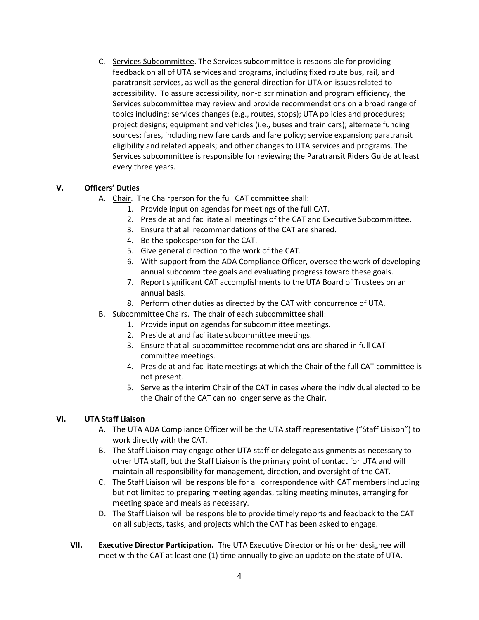C. Services Subcommittee. The Services subcommittee is responsible for providing feedback on all of UTA services and programs, including fixed route bus, rail, and paratransit services, as well as the general direction for UTA on issues related to accessibility. To assure accessibility, non-discrimination and program efficiency, the Services subcommittee may review and provide recommendations on a broad range of topics including: services changes (e.g., routes, stops); UTA policies and procedures; project designs; equipment and vehicles (i.e., buses and train cars); alternate funding sources; fares, including new fare cards and fare policy; service expansion; paratransit eligibility and related appeals; and other changes to UTA services and programs. The Services subcommittee is responsible for reviewing the Paratransit Riders Guide at least every three years.

## **V. Officers' Duties**

- A. Chair. The Chairperson for the full CAT committee shall:
	- 1. Provide input on agendas for meetings of the full CAT.
	- 2. Preside at and facilitate all meetings of the CAT and Executive Subcommittee.
	- 3. Ensure that all recommendations of the CAT are shared.
	- 4. Be the spokesperson for the CAT.
	- 5. Give general direction to the work of the CAT.
	- 6. With support from the ADA Compliance Officer, oversee the work of developing annual subcommittee goals and evaluating progress toward these goals.
	- 7. Report significant CAT accomplishments to the UTA Board of Trustees on an annual basis.
	- 8. Perform other duties as directed by the CAT with concurrence of UTA.
- B. Subcommittee Chairs. The chair of each subcommittee shall:
	- 1. Provide input on agendas for subcommittee meetings.
	- 2. Preside at and facilitate subcommittee meetings.
	- 3. Ensure that all subcommittee recommendations are shared in full CAT committee meetings.
	- 4. Preside at and facilitate meetings at which the Chair of the full CAT committee is not present.
	- 5. Serve as the interim Chair of the CAT in cases where the individual elected to be the Chair of the CAT can no longer serve as the Chair.

# **VI. UTA Staff Liaison**

- A. The UTA ADA Compliance Officer will be the UTA staff representative ("Staff Liaison") to work directly with the CAT.
- B. The Staff Liaison may engage other UTA staff or delegate assignments as necessary to other UTA staff, but the Staff Liaison is the primary point of contact for UTA and will maintain all responsibility for management, direction, and oversight of the CAT.
- C. The Staff Liaison will be responsible for all correspondence with CAT members including but not limited to preparing meeting agendas, taking meeting minutes, arranging for meeting space and meals as necessary.
- D. The Staff Liaison will be responsible to provide timely reports and feedback to the CAT on all subjects, tasks, and projects which the CAT has been asked to engage.
- **VII. Executive Director Participation.** The UTA Executive Director or his or her designee will meet with the CAT at least one (1) time annually to give an update on the state of UTA.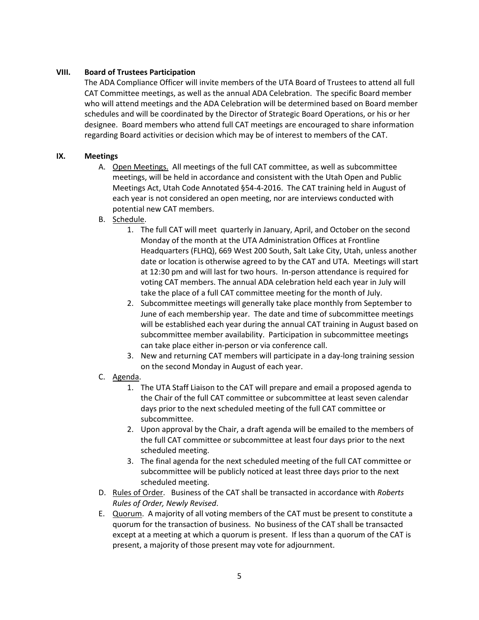### **VIII. Board of Trustees Participation**

The ADA Compliance Officer will invite members of the UTA Board of Trustees to attend all full CAT Committee meetings, as well as the annual ADA Celebration. The specific Board member who will attend meetings and the ADA Celebration will be determined based on Board member schedules and will be coordinated by the Director of Strategic Board Operations, or his or her designee. Board members who attend full CAT meetings are encouraged to share information regarding Board activities or decision which may be of interest to members of the CAT.

## **IX. Meetings**

- A. Open Meetings. All meetings of the full CAT committee, as well as subcommittee meetings, will be held in accordance and consistent with the Utah Open and Public Meetings Act, Utah Code Annotated §54-4-2016. The CAT training held in August of each year is not considered an open meeting, nor are interviews conducted with potential new CAT members.
- B. Schedule.
	- 1. The full CAT will meet quarterly in January, April, and October on the second Monday of the month at the UTA Administration Offices at Frontline Headquarters (FLHQ), 669 West 200 South, Salt Lake City, Utah, unless another date or location is otherwise agreed to by the CAT and UTA. Meetings will start at 12:30 pm and will last for two hours. In-person attendance is required for voting CAT members. The annual ADA celebration held each year in July will take the place of a full CAT committee meeting for the month of July.
	- 2. Subcommittee meetings will generally take place monthly from September to June of each membership year. The date and time of subcommittee meetings will be established each year during the annual CAT training in August based on subcommittee member availability. Participation in subcommittee meetings can take place either in-person or via conference call.
	- 3. New and returning CAT members will participate in a day-long training session on the second Monday in August of each year.
- C. Agenda.
	- 1. The UTA Staff Liaison to the CAT will prepare and email a proposed agenda to the Chair of the full CAT committee or subcommittee at least seven calendar days prior to the next scheduled meeting of the full CAT committee or subcommittee.
	- 2. Upon approval by the Chair, a draft agenda will be emailed to the members of the full CAT committee or subcommittee at least four days prior to the next scheduled meeting.
	- 3. The final agenda for the next scheduled meeting of the full CAT committee or subcommittee will be publicly noticed at least three days prior to the next scheduled meeting.
- D. Rules of Order. Business of the CAT shall be transacted in accordance with *Roberts Rules of Order, Newly Revised*.
- E. Quorum. A majority of all voting members of the CAT must be present to constitute a quorum for the transaction of business. No business of the CAT shall be transacted except at a meeting at which a quorum is present. If less than a quorum of the CAT is present, a majority of those present may vote for adjournment.